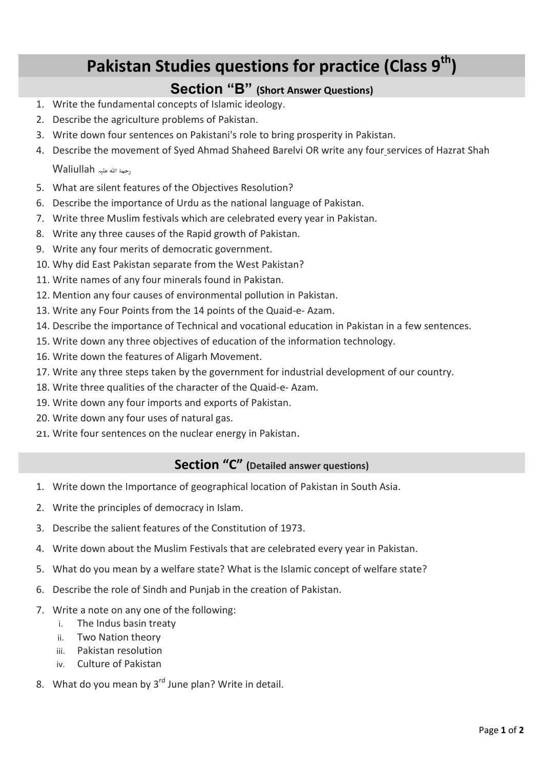## **Pakistan Studies questions for practice (Class 9th)**

## **Section "B" (Short Answer Questions)**

- 1. Write the fundamental concepts of Islamic ideology.
- 2. Describe the agriculture problems of Pakistan.
- 3. Write down four sentences on Pakistani's role to bring prosperity in Pakistan.
- 4. Describe the movement of Syed Ahmad Shaheed Barelvi OR write any four services of Hazrat Shah رحمۃ ہللا علیہ Waliullah
- 5. What are silent features of the Objectives Resolution?
- 6. Describe the importance of Urdu as the national language of Pakistan.
- 7. Write three Muslim festivals which are celebrated every year in Pakistan.
- 8. Write any three causes of the Rapid growth of Pakistan.
- 9. Write any four merits of democratic government.
- 10. Why did East Pakistan separate from the West Pakistan?
- 11. Write names of any four minerals found in Pakistan.
- 12. Mention any four causes of environmental pollution in Pakistan.
- 13. Write any Four Points from the 14 points of the Quaid-e- Azam.
- 14. Describe the importance of Technical and vocational education in Pakistan in a few sentences.
- 15. Write down any three objectives of education of the information technology.
- 16. Write down the features of Aligarh Movement.
- 17. Write any three steps taken by the government for industrial development of our country.
- 18. Write three qualities of the character of the Quaid-e- Azam.
- 19. Write down any four imports and exports of Pakistan.
- 20. Write down any four uses of natural gas.
- 21. Write four sentences on the nuclear energy in Pakistan.

## **Section "C" (Detailed answer questions)**

- 1. Write down the Importance of geographical location of Pakistan in South Asia.
- 2. Write the principles of democracy in Islam.
- 3. Describe the salient features of the Constitution of 1973.
- 4. Write down about the Muslim Festivals that are celebrated every year in Pakistan.
- 5. What do you mean by a welfare state? What is the Islamic concept of welfare state?
- 6. Describe the role of Sindh and Punjab in the creation of Pakistan.
- 7. Write a note on any one of the following:
	- i. The Indus basin treaty
	- ii. Two Nation theory
	- iii. Pakistan resolution
	- iv. Culture of Pakistan
- 8. What do you mean by  $3<sup>rd</sup>$  June plan? Write in detail.